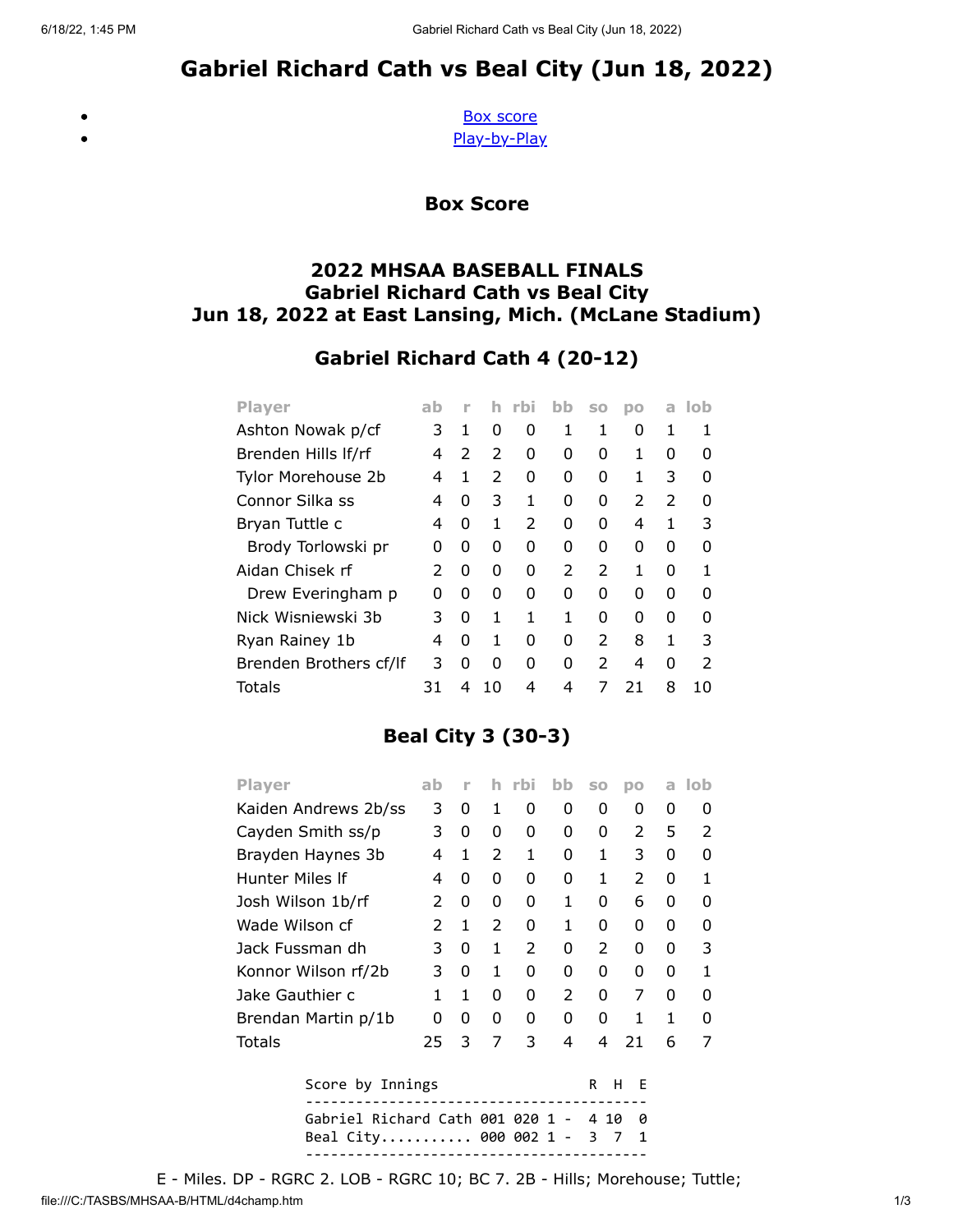# Gabriel Richard Cath vs Beal City (Jun 18, 2022)

<span id="page-0-0"></span> $\bullet$  $\bullet$ 

[Box score](#page-0-0) [Play-by-Play](#page-1-0)

Box Score

## 2022 MHSAA BASEBALL FINALS Gabriel Richard Cath vs Beal City Jun 18, 2022 at East Lansing, Mich. (McLane Stadium)

## Gabriel Richard Cath 4 (20-12)

| <b>Player</b>          | ab | Г             | h.            | rbi           | bb            | S <sub>0</sub> | po | a             | -lob         |
|------------------------|----|---------------|---------------|---------------|---------------|----------------|----|---------------|--------------|
| Ashton Nowak p/cf      | 3  | 1             | 0             | 0             | 1             | 1              | 0  | 1             |              |
| Brenden Hills If/rf    | 4  | $\mathcal{P}$ | $\mathcal{P}$ | O             | O             | O              | 1  | U             |              |
| Tylor Morehouse 2b     | 4  | 1             | $\mathcal{P}$ | 0             | O             | 0              | 1  | 3             | $\mathbf{I}$ |
| Connor Silka ss        | 4  | O             | 3             | 1             | O             | 0              | 2  | $\mathcal{P}$ | O            |
| Bryan Tuttle c         | 4  | O             | 1             | $\mathcal{P}$ | 0             | O              | 4  | 1             | 3            |
| Brody Torlowski pr     | O  | O             | 0             | 0             | O             | O              | O  | O             | n            |
| Aidan Chisek rf        | 2  | 0             | 0             | 0             | $\mathcal{P}$ | $\mathcal{P}$  | 1  | O             |              |
| Drew Everingham p      | O  | 0             | O             | O             | O             | O              | O  | O             |              |
| Nick Wisniewski 3b     | 3  | 0             | 1             | 1             | 1             | O              | O  | U             |              |
| Ryan Rainey 1b         | 4  | O             | 1             | O             | O             | $\mathcal{P}$  | 8  | 1             | 3            |
| Brenden Brothers cf/lf | 3  | O             | O             | O             | n             | $\mathcal{P}$  | 4  | O             |              |
| Totals                 | 31 | 4             | 10            | 4             | 4             |                | 21 | 8             | 10           |

## Beal City 3 (30-3)

| <b>Player</b>                                                                            | ab            | ۲            | h | - rbi | bb            | SO            | DO | a | -lob          |
|------------------------------------------------------------------------------------------|---------------|--------------|---|-------|---------------|---------------|----|---|---------------|
| Kaiden Andrews 2b/ss                                                                     | 3             | 0            | 1 | 0     | 0             | 0             | 0  | 0 | 0             |
| Cayden Smith ss/p                                                                        | 3             | 0            | 0 | 0     | 0             | 0             | 2  | 5 | $\mathcal{L}$ |
| Brayden Haynes 3b                                                                        | 4             | 1            | 2 | 1     | 0             | 1             | 3  | 0 | 0             |
| Hunter Miles If                                                                          | 4             | 0            | 0 | 0     | 0             | 1             | 2  | 0 | 1             |
| Josh Wilson 1b/rf                                                                        | $\mathcal{P}$ | 0            | 0 | 0     | 1             | 0             | 6  | 0 | 0             |
| Wade Wilson cf                                                                           | 2             | $\mathbf{1}$ | 2 | 0     | 1             | 0             | 0  | 0 | 0             |
| Jack Fussman dh                                                                          | 3             | 0            | 1 | 2     | 0             | $\mathcal{P}$ | 0  | 0 | 3             |
| Konnor Wilson rf/2b                                                                      | 3             | 0            | 1 | 0     | 0             | 0             | 0  | 0 | 1             |
| Jake Gauthier c                                                                          | 1             | $\mathbf{1}$ | 0 | 0     | $\mathcal{L}$ | 0             | 7  | 0 | ŋ             |
| Brendan Martin p/1b                                                                      | 0             | 0            | 0 | 0     | 0             | O             | 1  | 1 | 0             |
| Totals                                                                                   | 25            | 3            | 7 | 3     | 4             | 4             | 21 | 6 | 7             |
| Score by Innings<br>R<br>н<br>F                                                          |               |              |   |       |               |               |    |   |               |
| Gabriel Richard Cath 001 020<br>10<br>$1 -$<br>4<br>ø<br>Beal City 000 002 1 -<br>1<br>3 |               |              |   |       |               |               |    |   |               |
|                                                                                          |               |              |   |       |               |               |    |   |               |

E - Miles. DP - RGRC 2. LOB - RGRC 10; BC 7. 2B - Hills; Morehouse; Tuttle;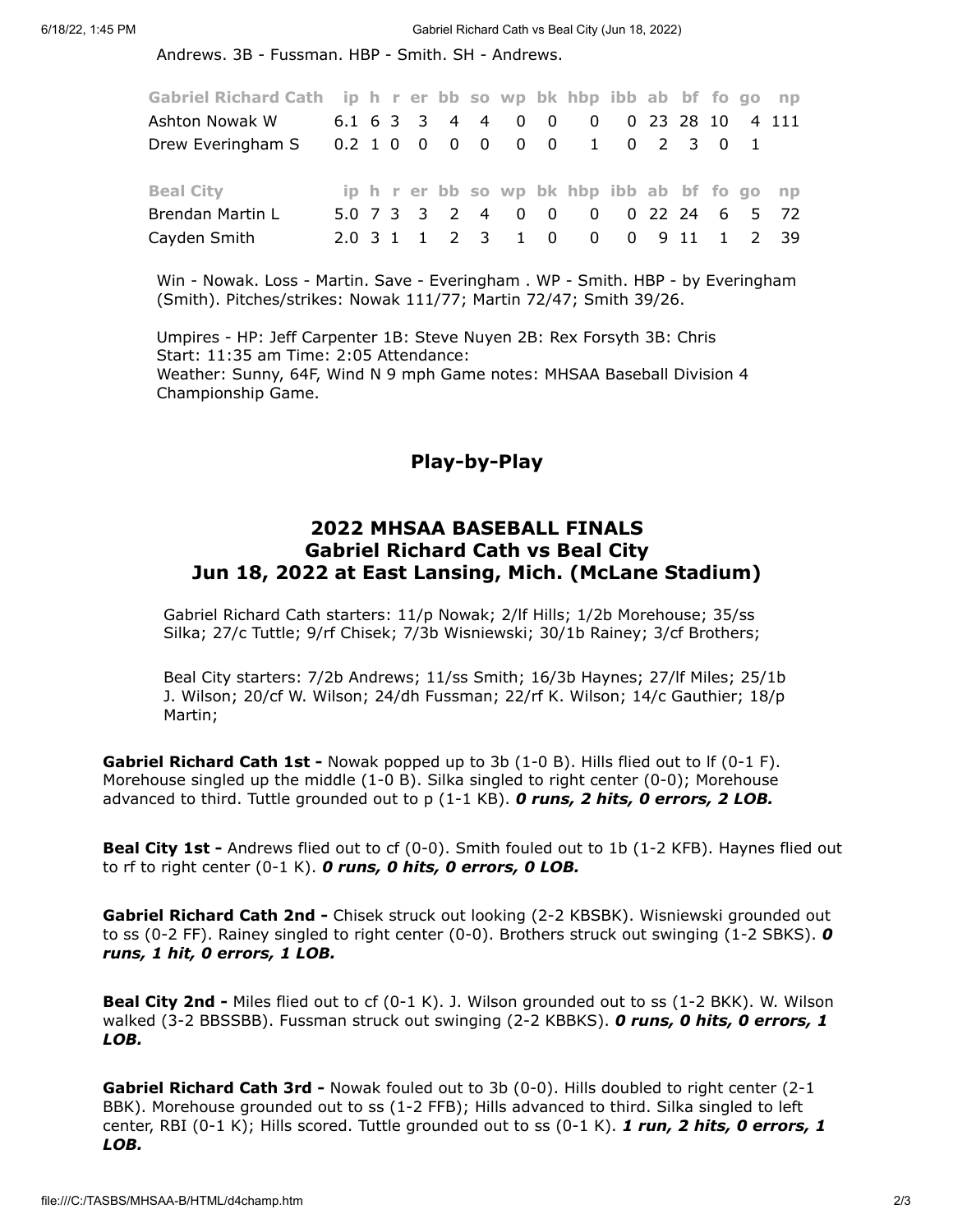6/18/22, 1:45 PM Gabriel Richard Cath vs Beal City (Jun 18, 2022)

Andrews. 3B - Fussman. HBP - Smith. SH - Andrews.

| Gabriel Richard Cath ip h r er bb so wp bk hbp ibb ab bf fo go np |  |  |  |  |                                              |  |  |  |
|-------------------------------------------------------------------|--|--|--|--|----------------------------------------------|--|--|--|
| Ashton Nowak W                                                    |  |  |  |  | 6.1 6 3 3 4 4 0 0 0 0 23 28 10 4 111         |  |  |  |
| Drew Everingham S  0.2  1  0  0  0  0  0  0  0  1  0  2  3  0  1  |  |  |  |  |                                              |  |  |  |
|                                                                   |  |  |  |  |                                              |  |  |  |
| <b>Beal City</b>                                                  |  |  |  |  | ip h r er bb so wp bk hbp ibb ab bf fo go np |  |  |  |
| Brendan Martin L                                                  |  |  |  |  | 5.0 7 3 3 2 4 0 0 0 0 22 24 6 5 72           |  |  |  |
| Cayden Smith                                                      |  |  |  |  | 2.0 3 1 1 2 3 1 0 0 0 9 11 1 2 39            |  |  |  |
|                                                                   |  |  |  |  |                                              |  |  |  |

Win - Nowak. Loss - Martin. Save - Everingham . WP - Smith. HBP - by Everingham (Smith). Pitches/strikes: Nowak 111/77; Martin 72/47; Smith 39/26.

<span id="page-1-0"></span>Umpires - HP: Jeff Carpenter 1B: Steve Nuyen 2B: Rex Forsyth 3B: Chris Start: 11:35 am Time: 2:05 Attendance: Weather: Sunny, 64F, Wind N 9 mph Game notes: MHSAA Baseball Division 4 Championship Game.

#### Play-by-Play

#### 2022 MHSAA BASEBALL FINALS Gabriel Richard Cath vs Beal City Jun 18, 2022 at East Lansing, Mich. (McLane Stadium)

Gabriel Richard Cath starters: 11/p Nowak; 2/lf Hills; 1/2b Morehouse; 35/ss Silka; 27/c Tuttle; 9/rf Chisek; 7/3b Wisniewski; 30/1b Rainey; 3/cf Brothers;

Beal City starters: 7/2b Andrews; 11/ss Smith; 16/3b Haynes; 27/lf Miles; 25/1b J. Wilson; 20/cf W. Wilson; 24/dh Fussman; 22/rf K. Wilson; 14/c Gauthier; 18/p Martin;

**Gabriel Richard Cath 1st -** Nowak popped up to 3b  $(1-0 B)$ . Hills flied out to If  $(0-1 F)$ . Morehouse singled up the middle (1-0 B). Silka singled to right center (0-0); Morehouse advanced to third. Tuttle grounded out to p  $(1-1$  KB). O runs, 2 hits, O errors, 2 LOB.

**Beal City 1st -** Andrews flied out to cf (0-0). Smith fouled out to 1b (1-2 KFB). Haynes flied out to rf to right center  $(0-1 K)$ . O runs, O hits, O errors, O LOB.

Gabriel Richard Cath 2nd - Chisek struck out looking (2-2 KBSBK). Wisniewski grounded out to ss (0-2 FF). Rainey singled to right center (0-0). Brothers struck out swinging (1-2 SBKS).  $\boldsymbol{0}$ runs, 1 hit, 0 errors, 1 LOB.

**Beal City 2nd -** Miles flied out to cf (0-1 K). J. Wilson grounded out to ss (1-2 BKK). W. Wilson walked (3-2 BBSSBB). Fussman struck out swinging (2-2 KBBKS). O runs, O hits, O errors, 1 LOB.

Gabriel Richard Cath 3rd - Nowak fouled out to 3b (0-0). Hills doubled to right center (2-1 BBK). Morehouse grounded out to ss (1-2 FFB); Hills advanced to third. Silka singled to left center, RBI (0-1 K); Hills scored. Tuttle grounded out to ss (0-1 K). 1 run, 2 hits, 0 errors, 1 LOB.